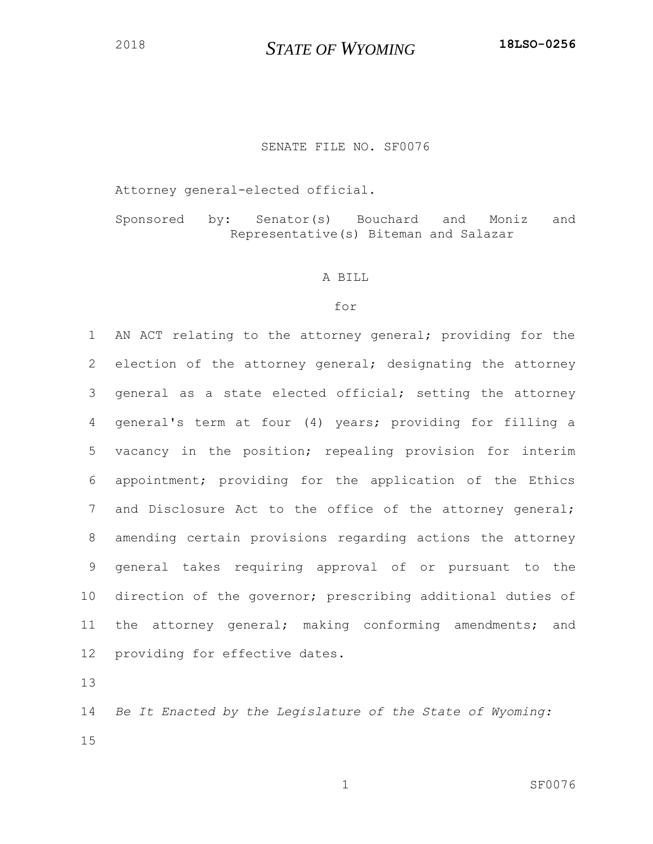# *STATE OF WYOMING* **18LSO-0256**

## SENATE FILE NO. SF0076

Attorney general-elected official.

Sponsored by: Senator(s) Bouchard and Moniz and Representative(s) Biteman and Salazar

#### A BILL

## for

 AN ACT relating to the attorney general; providing for the election of the attorney general; designating the attorney general as a state elected official; setting the attorney general's term at four (4) years; providing for filling a vacancy in the position; repealing provision for interim appointment; providing for the application of the Ethics and Disclosure Act to the office of the attorney general; amending certain provisions regarding actions the attorney general takes requiring approval of or pursuant to the direction of the governor; prescribing additional duties of the attorney general; making conforming amendments; and providing for effective dates.

 *Be It Enacted by the Legislature of the State of Wyoming:*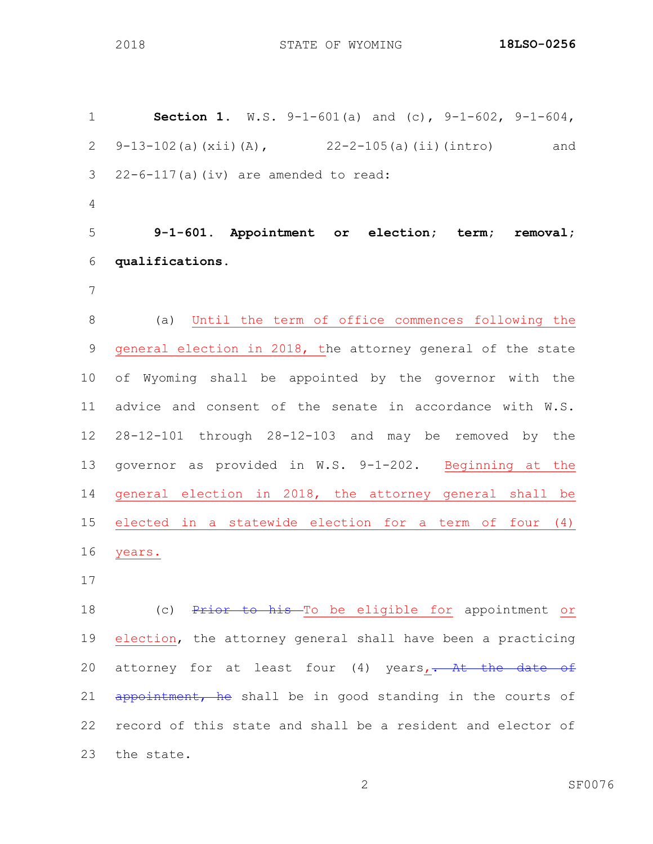STATE OF WYOMING **18LSO-0256**

 **Section 1.** W.S. 9-1-601(a) and (c), 9-1-602, 9-1-604, 9-13-102(a)(xii)(A), 22-2-105(a)(ii)(intro) and  $22-6-117(a)$  (iv) are amended to read: **9-1-601. Appointment or election; term; removal; qualifications.** (a) Until the term of office commences following the general election in 2018, the attorney general of the state of Wyoming shall be appointed by the governor with the advice and consent of the senate in accordance with W.S. 28-12-101 through 28-12-103 and may be removed by the governor as provided in W.S. 9-1-202. Beginning at the general election in 2018, the attorney general shall be elected in a statewide election for a term of four (4) years. 18 (c) Prior to his To be eligible for appointment or 19 election, the attorney general shall have been a practicing 20 attorney for at least four (4) years, At the date of

 record of this state and shall be a resident and elector of the state.

21 appointment, he shall be in good standing in the courts of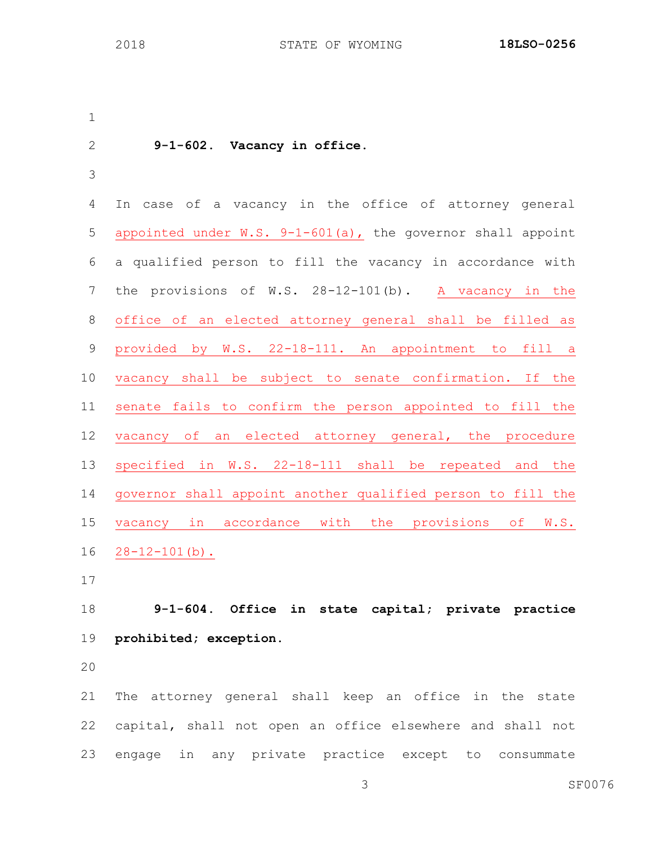**9-1-602. Vacancy in office.** In case of a vacancy in the office of attorney general appointed under W.S. 9-1-601(a), the governor shall appoint a qualified person to fill the vacancy in accordance with the provisions of W.S. 28-12-101(b). A vacancy in the office of an elected attorney general shall be filled as provided by W.S. 22-18-111. An appointment to fill a vacancy shall be subject to senate confirmation. If the senate fails to confirm the person appointed to fill the vacancy of an elected attorney general, the procedure specified in W.S. 22-18-111 shall be repeated and the governor shall appoint another qualified person to fill the vacancy in accordance with the provisions of W.S. 28-12-101(b).

 **9-1-604. Office in state capital; private practice prohibited; exception.**

 The attorney general shall keep an office in the state capital, shall not open an office elsewhere and shall not engage in any private practice except to consummate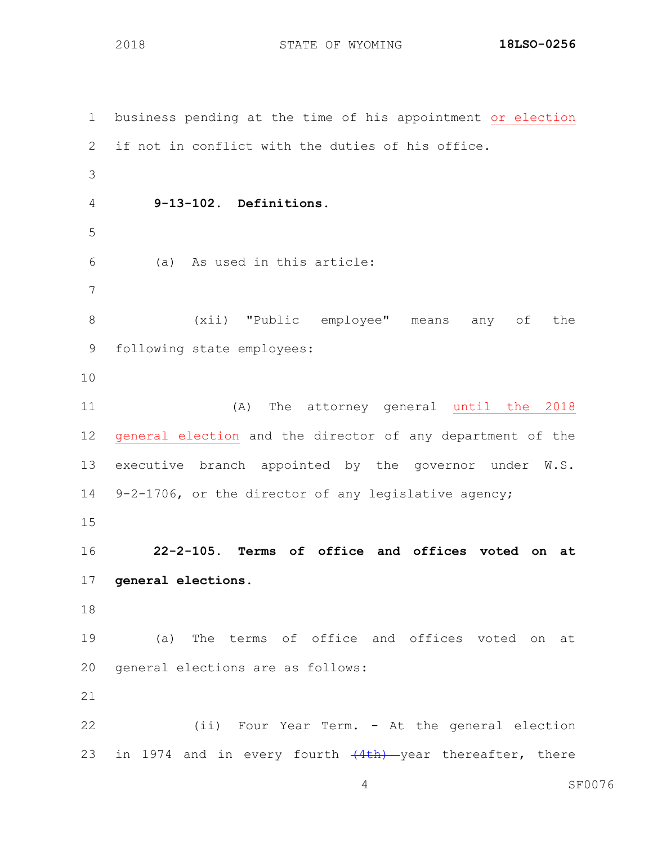STATE OF WYOMING **18LSO-0256**

 business pending at the time of his appointment or election if not in conflict with the duties of his office. **9-13-102. Definitions.** (a) As used in this article: (xii) "Public employee" means any of the following state employees: (A) The attorney general until the 2018 general election and the director of any department of the executive branch appointed by the governor under W.S. 9-2-1706, or the director of any legislative agency; **22-2-105. Terms of office and offices voted on at general elections.** (a) The terms of office and offices voted on at general elections are as follows: (ii) Four Year Term. - At the general election 23 in 1974 and in every fourth  $(4th)$  year thereafter, there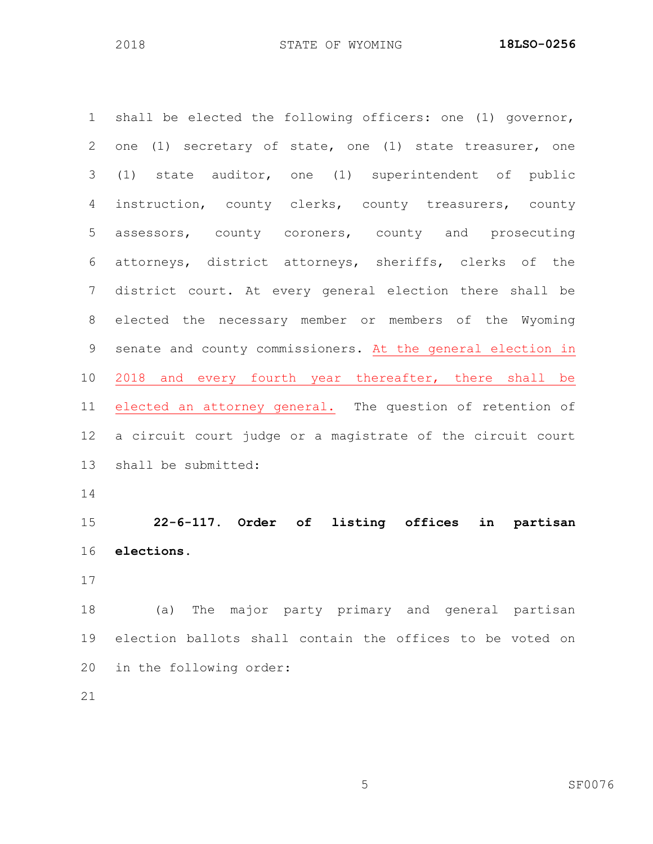shall be elected the following officers: one (1) governor, one (1) secretary of state, one (1) state treasurer, one (1) state auditor, one (1) superintendent of public instruction, county clerks, county treasurers, county assessors, county coroners, county and prosecuting attorneys, district attorneys, sheriffs, clerks of the district court. At every general election there shall be elected the necessary member or members of the Wyoming senate and county commissioners. At the general election in 2018 and every fourth year thereafter, there shall be elected an attorney general. The question of retention of a circuit court judge or a magistrate of the circuit court shall be submitted:

 **22-6-117. Order of listing offices in partisan elections.**

 (a) The major party primary and general partisan election ballots shall contain the offices to be voted on in the following order: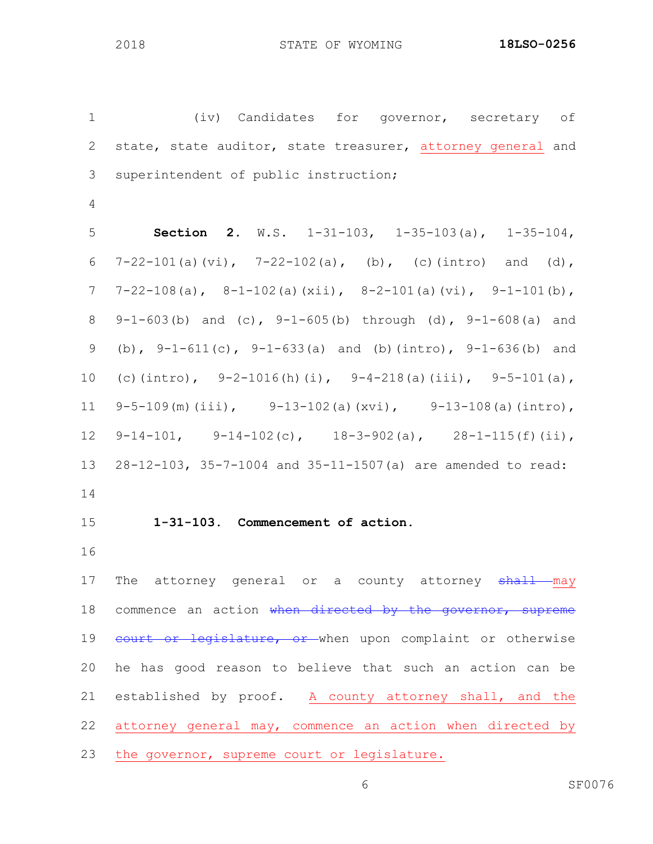(iv) Candidates for governor, secretary of 2 state, state auditor, state treasurer, attorney general and superintendent of public instruction; **Section 2.** W.S. 1-31-103, 1-35-103(a), 1-35-104, 6  $7-22-101(a)(vi), 7-22-102(a), (b), (c)(intro) and (d),$  $7 \quad 7-22-108(a), \quad 8-1-102(a)(xii), \quad 8-2-101(a)(vi), \quad 9-1-101(b),$ 8 9-1-603(b) and (c),  $9-1-605(b)$  through (d),  $9-1-608(a)$  and (b), 9-1-611(c), 9-1-633(a) and (b)(intro), 9-1-636(b) and 10 (c)(intro),  $9-2-1016(h)(i)$ ,  $9-4-218(a)(iii)$ ,  $9-5-101(a)$ , 9-5-109(m)(iii), 9-13-102(a)(xvi), 9-13-108(a)(intro), 12 9-14-101, 9-14-102(c),  $18-3-902(a)$ ,  $28-1-115(f)(ii)$ , 28-12-103, 35-7-1004 and 35-11-1507(a) are amended to read: **1-31-103. Commencement of action.** 17 The attorney general or a county attorney shall may 18 commence an action when directed by the governor, supreme 19 court or legislature, or when upon complaint or otherwise he has good reason to believe that such an action can be established by proof. A county attorney shall, and the attorney general may, commence an action when directed by

the governor, supreme court or legislature.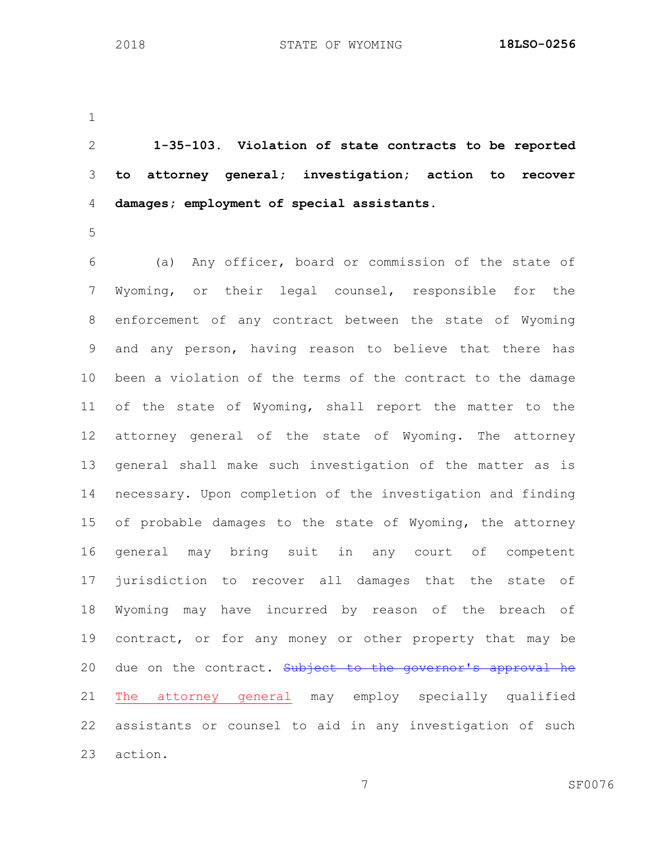**1-35-103. Violation of state contracts to be reported to attorney general; investigation; action to recover damages; employment of special assistants.**

 (a) Any officer, board or commission of the state of Wyoming, or their legal counsel, responsible for the enforcement of any contract between the state of Wyoming and any person, having reason to believe that there has been a violation of the terms of the contract to the damage of the state of Wyoming, shall report the matter to the attorney general of the state of Wyoming. The attorney general shall make such investigation of the matter as is necessary. Upon completion of the investigation and finding of probable damages to the state of Wyoming, the attorney general may bring suit in any court of competent jurisdiction to recover all damages that the state of Wyoming may have incurred by reason of the breach of 19 contract, or for any money or other property that may be 20 due on the contract. Subject to the governor's approval he The attorney general may employ specially qualified assistants or counsel to aid in any investigation of such action.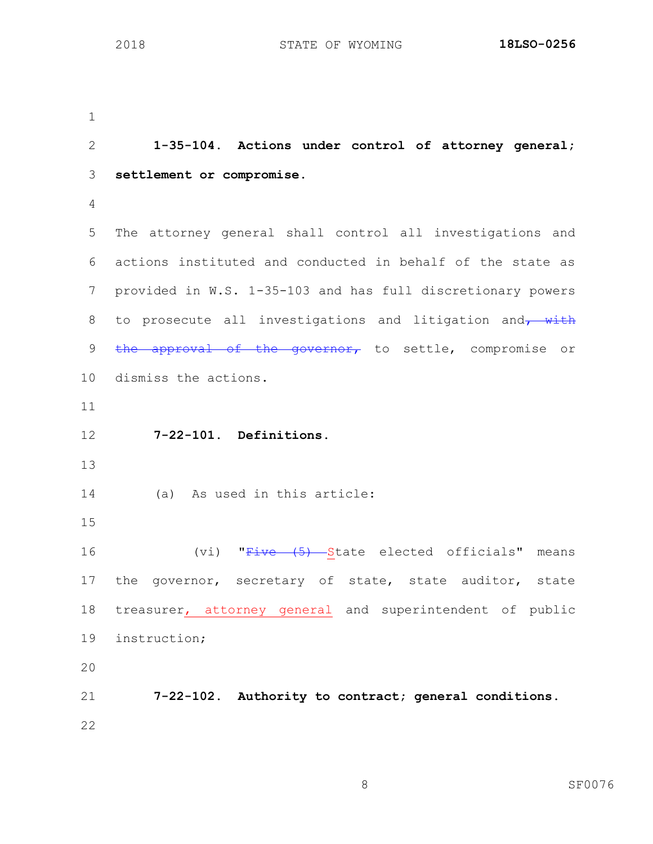**1-35-104. Actions under control of attorney general; settlement or compromise.** The attorney general shall control all investigations and actions instituted and conducted in behalf of the state as provided in W.S. 1-35-103 and has full discretionary powers 8 to prosecute all investigations and litigation and  $\frac{w}{t}$ 9 the approval of the governor, to settle, compromise or dismiss the actions. **7-22-101. Definitions.** (a) As used in this article: 16 (vi) "Five (5) State elected officials" means 17 the governor, secretary of state, state auditor, state treasurer, attorney general and superintendent of public instruction; **7-22-102. Authority to contract; general conditions.**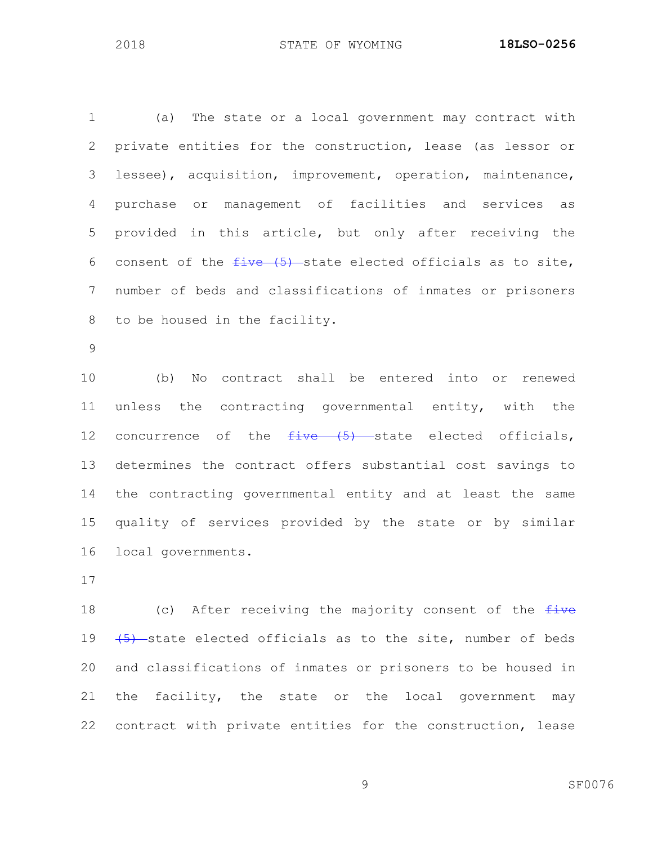(a) The state or a local government may contract with private entities for the construction, lease (as lessor or lessee), acquisition, improvement, operation, maintenance, purchase or management of facilities and services as provided in this article, but only after receiving the 6 consent of the  $five$  (5) state elected officials as to site, number of beds and classifications of inmates or prisoners to be housed in the facility.

 (b) No contract shall be entered into or renewed unless the contracting governmental entity, with the 12 concurrence of the  $f$ ive  $(5)$  state elected officials, determines the contract offers substantial cost savings to the contracting governmental entity and at least the same quality of services provided by the state or by similar local governments.

18 (c) After receiving the majority consent of the  $f$ ive  $(5)$  state elected officials as to the site, number of beds and classifications of inmates or prisoners to be housed in the facility, the state or the local government may contract with private entities for the construction, lease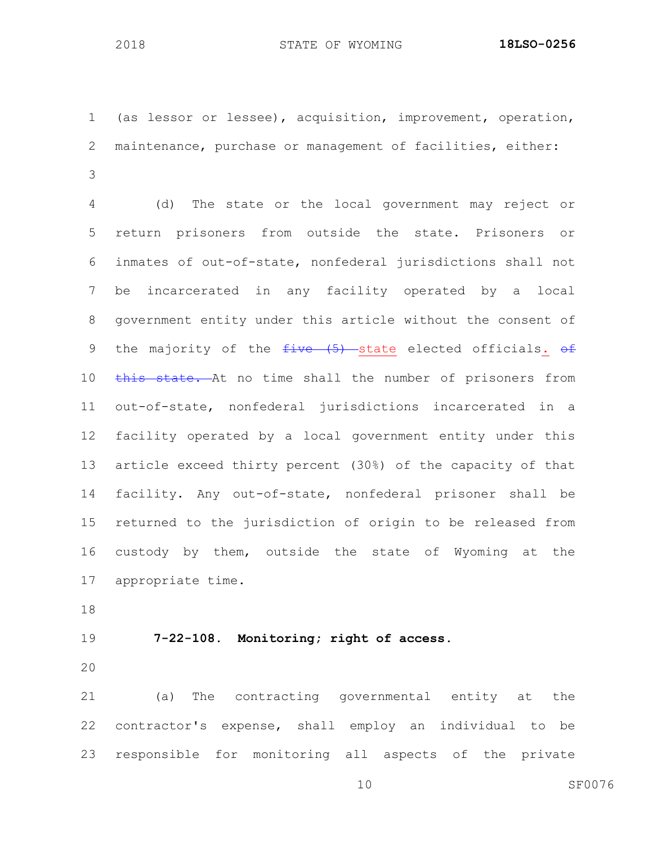(as lessor or lessee), acquisition, improvement, operation, maintenance, purchase or management of facilities, either: 

 (d) The state or the local government may reject or return prisoners from outside the state. Prisoners or inmates of out-of-state, nonfederal jurisdictions shall not be incarcerated in any facility operated by a local government entity under this article without the consent of 9 the majority of the  $five$  (5) state elected officials.  $\theta f$ 10 this state. At no time shall the number of prisoners from out-of-state, nonfederal jurisdictions incarcerated in a facility operated by a local government entity under this article exceed thirty percent (30%) of the capacity of that facility. Any out-of-state, nonfederal prisoner shall be returned to the jurisdiction of origin to be released from custody by them, outside the state of Wyoming at the appropriate time.

**7-22-108. Monitoring; right of access.**

 (a) The contracting governmental entity at the contractor's expense, shall employ an individual to be responsible for monitoring all aspects of the private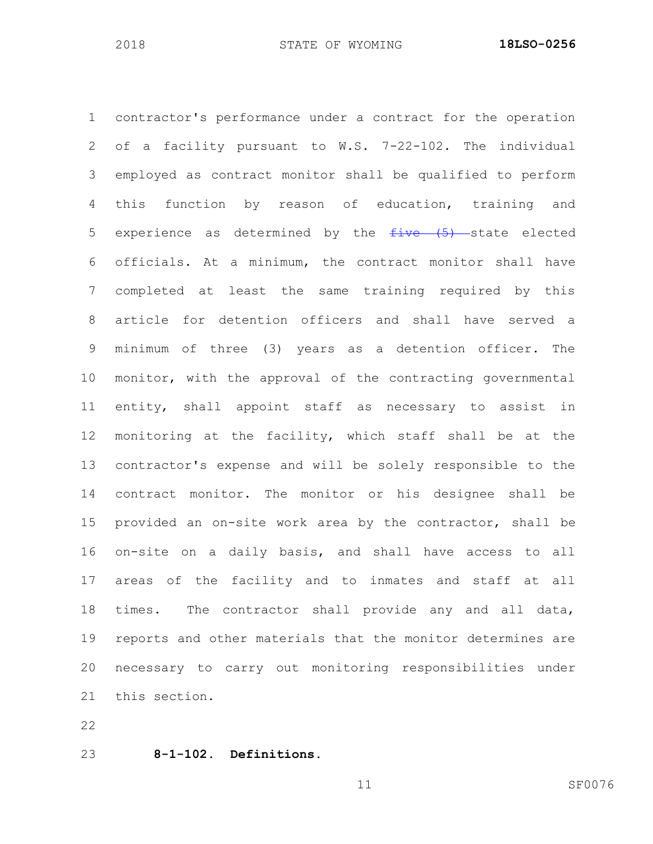contractor's performance under a contract for the operation of a facility pursuant to W.S. 7-22-102. The individual employed as contract monitor shall be qualified to perform this function by reason of education, training and 5 experience as determined by the  $f$ ive  $(5)$  state elected officials. At a minimum, the contract monitor shall have completed at least the same training required by this article for detention officers and shall have served a minimum of three (3) years as a detention officer. The monitor, with the approval of the contracting governmental entity, shall appoint staff as necessary to assist in monitoring at the facility, which staff shall be at the contractor's expense and will be solely responsible to the contract monitor. The monitor or his designee shall be provided an on-site work area by the contractor, shall be on-site on a daily basis, and shall have access to all areas of the facility and to inmates and staff at all times. The contractor shall provide any and all data, reports and other materials that the monitor determines are necessary to carry out monitoring responsibilities under this section.

**8-1-102. Definitions.**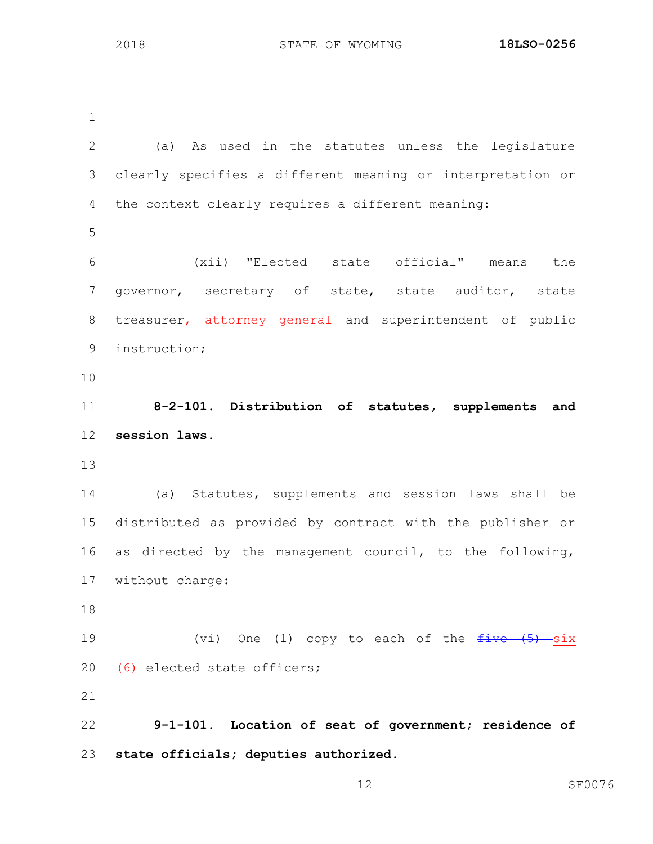STATE OF WYOMING **18LSO-0256**

 (a) As used in the statutes unless the legislature clearly specifies a different meaning or interpretation or the context clearly requires a different meaning: (xii) "Elected state official" means the governor, secretary of state, state auditor, state treasurer, attorney general and superintendent of public instruction; **8-2-101. Distribution of statutes, supplements and session laws.** (a) Statutes, supplements and session laws shall be distributed as provided by contract with the publisher or as directed by the management council, to the following, without charge:  $(vi)$  One (1) copy to each of the  $fiv$ e  $(5)$  six (6) elected state officers; **9-1-101. Location of seat of government; residence of state officials; deputies authorized.**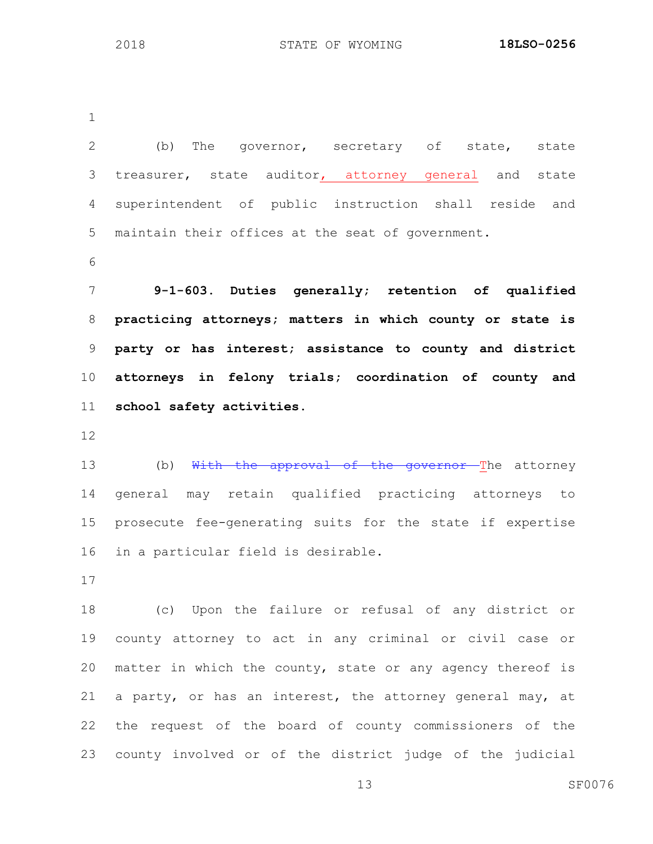(b) The governor, secretary of state, state treasurer, state auditor, attorney general and state superintendent of public instruction shall reside and maintain their offices at the seat of government. **9-1-603. Duties generally; retention of qualified practicing attorneys; matters in which county or state is party or has interest; assistance to county and district attorneys in felony trials; coordination of county and school safety activities.** 13 (b) With the approval of the governor The attorney general may retain qualified practicing attorneys to prosecute fee-generating suits for the state if expertise in a particular field is desirable. (c) Upon the failure or refusal of any district or county attorney to act in any criminal or civil case or matter in which the county, state or any agency thereof is a party, or has an interest, the attorney general may, at the request of the board of county commissioners of the county involved or of the district judge of the judicial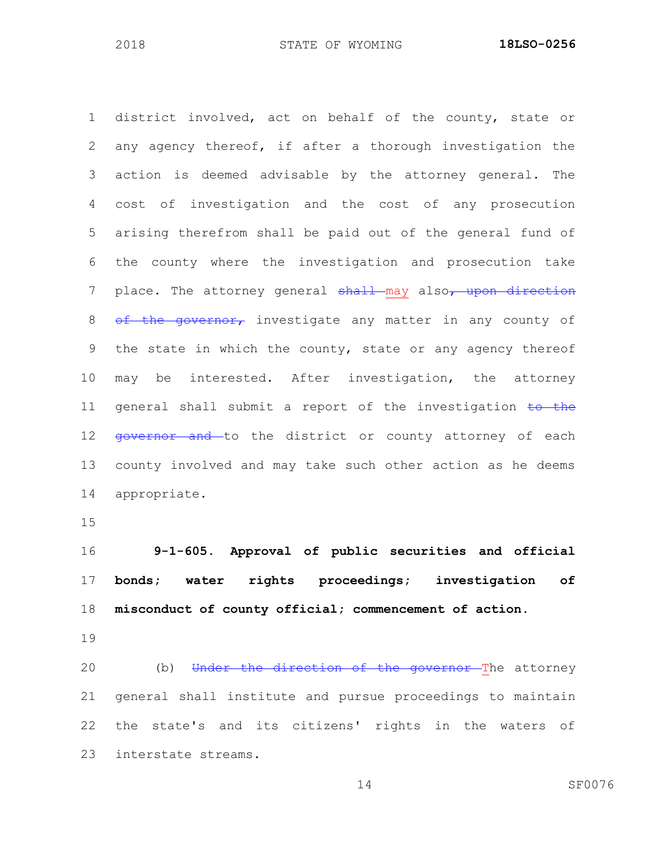district involved, act on behalf of the county, state or any agency thereof, if after a thorough investigation the action is deemed advisable by the attorney general. The cost of investigation and the cost of any prosecution arising therefrom shall be paid out of the general fund of the county where the investigation and prosecution take 7 place. The attorney general shall may also, upon direction 8 of the governor, investigate any matter in any county of the state in which the county, state or any agency thereof may be interested. After investigation, the attorney 11 general shall submit a report of the investigation  $\frac{1}{10}$  the 12 <del>qovernor and to the district or county attorney of each</del> county involved and may take such other action as he deems appropriate.

 **9-1-605. Approval of public securities and official bonds; water rights proceedings; investigation of misconduct of county official; commencement of action.**

20 (b) Under the direction of the governor The attorney general shall institute and pursue proceedings to maintain the state's and its citizens' rights in the waters of interstate streams.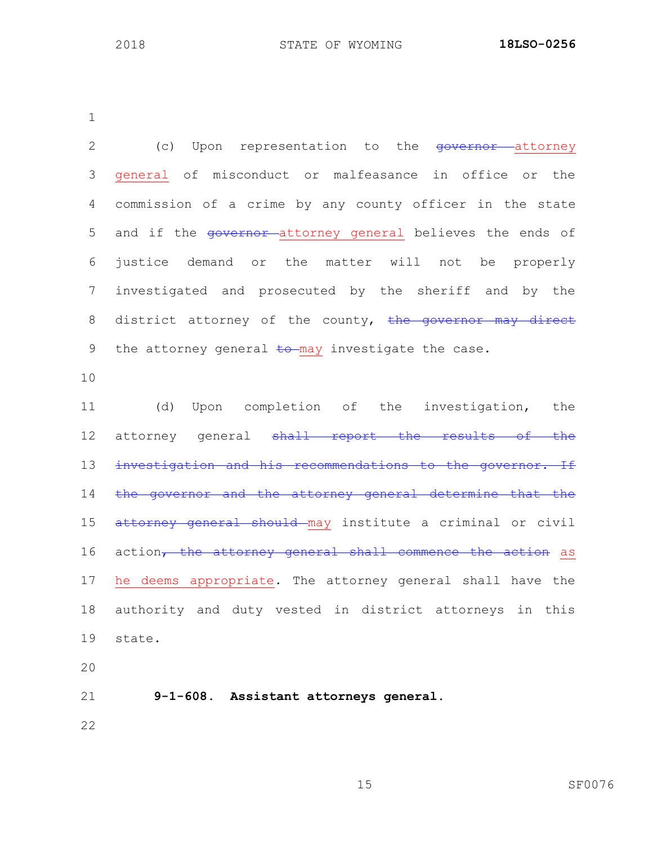| $\overline{2}$ | (c) Upon representation to the <del>governor</del> attorney |
|----------------|-------------------------------------------------------------|
| 3              | general of misconduct or malfeasance in office or the       |
| 4              | commission of a crime by any county officer in the state    |
| 5              | and if the governor-attorney general believes the ends of   |
| 6              | justice demand or the matter will not be properly           |
| $\overline{7}$ | investigated and prosecuted by the sheriff and by the       |
| 8              | district attorney of the county, the governor may direct    |
| 9              | the attorney general to may investigate the case.           |
| 10             |                                                             |
| 11             | Upon completion of the investigation, the<br>(d)            |
| 12             | attorney general shall report the results of the            |
| 13             | investigation and his recommendations to the governor. If   |
| 14             | the governor and the attorney general determine that the    |
| 15             | attorney general should may institute a criminal or civil   |
| 16             | action, the attorney general shall commence the action as   |
| 17             | he deems appropriate. The attorney general shall have the   |
| 18             | authority and duty vested in district attorneys in this     |
| 19             | state.                                                      |
| 20             |                                                             |
| 21             | 9-1-608. Assistant attorneys general.                       |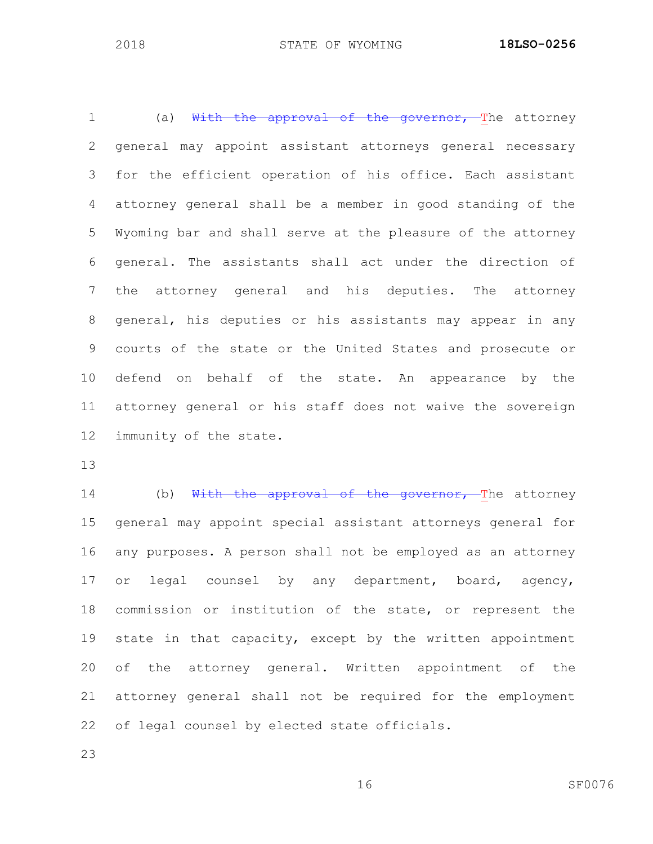1 (a) With the approval of the governor, The attorney general may appoint assistant attorneys general necessary for the efficient operation of his office. Each assistant attorney general shall be a member in good standing of the Wyoming bar and shall serve at the pleasure of the attorney general. The assistants shall act under the direction of the attorney general and his deputies. The attorney general, his deputies or his assistants may appear in any courts of the state or the United States and prosecute or defend on behalf of the state. An appearance by the attorney general or his staff does not waive the sovereign immunity of the state.

14 (b) With the approval of the governor, The attorney general may appoint special assistant attorneys general for any purposes. A person shall not be employed as an attorney 17 or legal counsel by any department, board, agency, commission or institution of the state, or represent the state in that capacity, except by the written appointment of the attorney general. Written appointment of the attorney general shall not be required for the employment of legal counsel by elected state officials.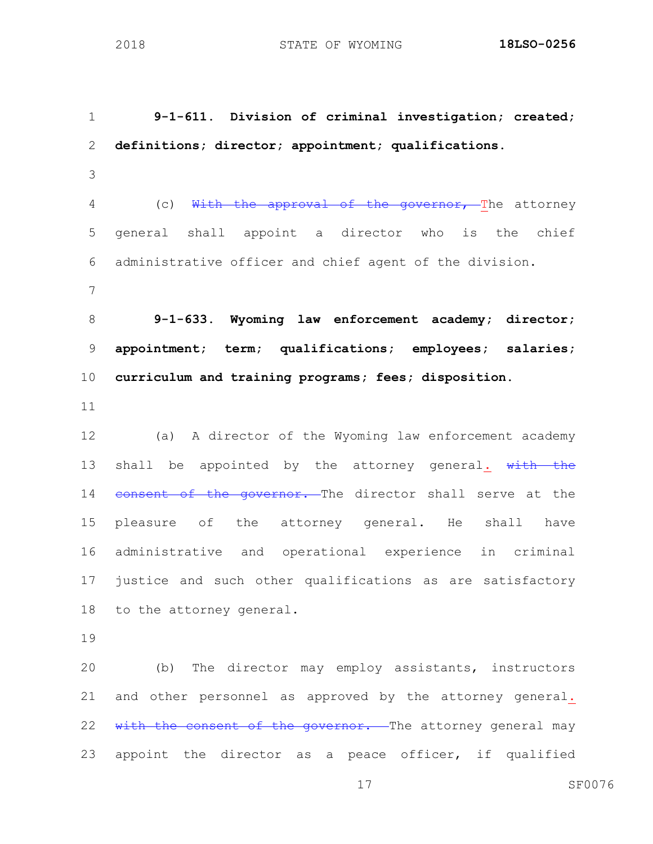**9-1-611. Division of criminal investigation; created; definitions; director; appointment; qualifications.** 4 (c) With the approval of the governor, The attorney general shall appoint a director who is the chief administrative officer and chief agent of the division. **9-1-633. Wyoming law enforcement academy; director; appointment; term; qualifications; employees; salaries; curriculum and training programs; fees; disposition.** (a) A director of the Wyoming law enforcement academy 13 shall be appointed by the attorney general.  $\frac{1}{w}$  with the 14 consent of the governor. The director shall serve at the pleasure of the attorney general. He shall have administrative and operational experience in criminal justice and such other qualifications as are satisfactory to the attorney general. (b) The director may employ assistants, instructors and other personnel as approved by the attorney general. 22 with the consent of the governor. The attorney general may

appoint the director as a peace officer, if qualified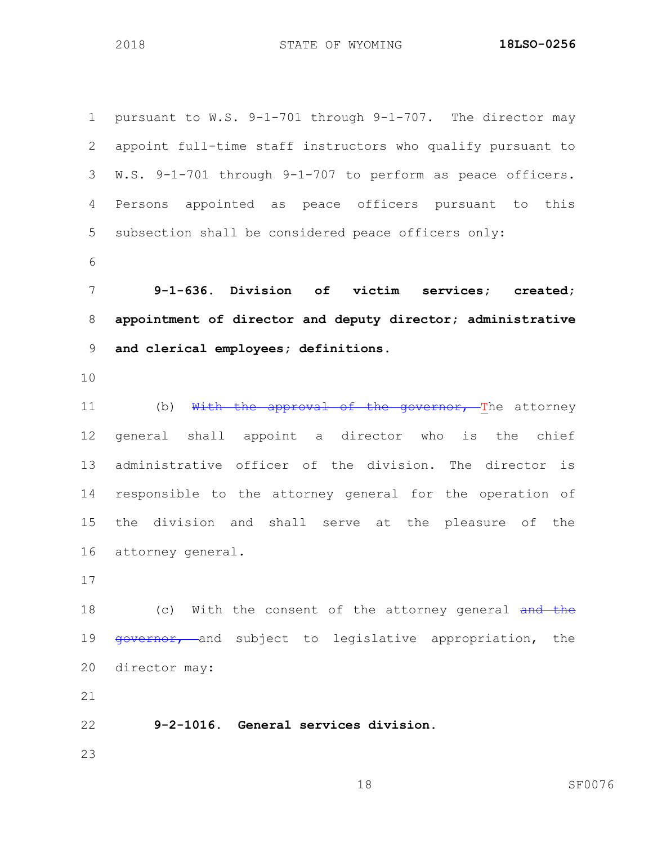pursuant to W.S. 9-1-701 through 9-1-707. The director may appoint full-time staff instructors who qualify pursuant to W.S. 9-1-701 through 9-1-707 to perform as peace officers. Persons appointed as peace officers pursuant to this subsection shall be considered peace officers only: **9-1-636. Division of victim services; created; appointment of director and deputy director; administrative and clerical employees; definitions.** 11 (b) With the approval of the governor, The attorney general shall appoint a director who is the chief administrative officer of the division. The director is responsible to the attorney general for the operation of the division and shall serve at the pleasure of the attorney general. 18 (c) With the consent of the attorney general and the 19 governor, and subject to legislative appropriation, the director may: **9-2-1016. General services division.**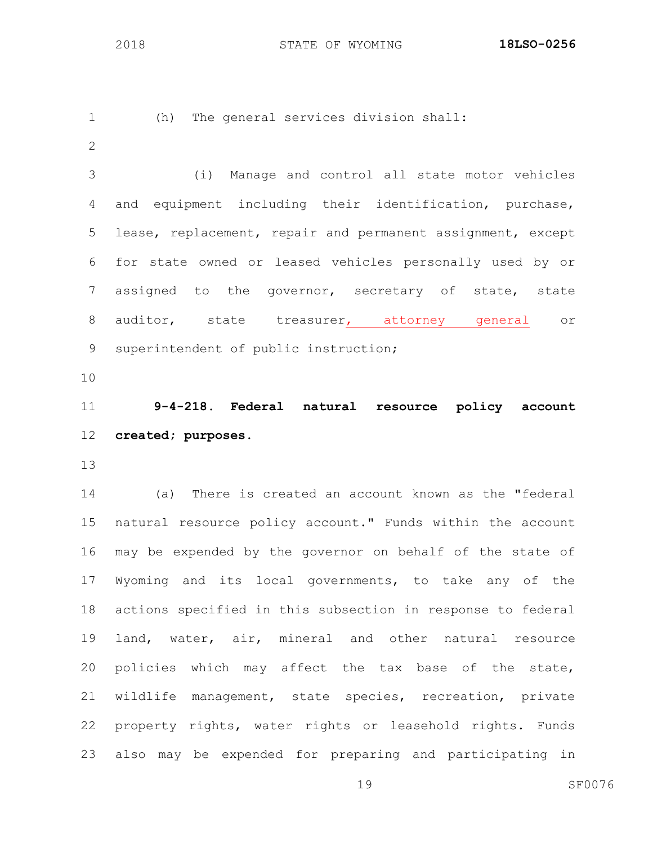```
1 (h) The general services division shall:
```
 (i) Manage and control all state motor vehicles and equipment including their identification, purchase, lease, replacement, repair and permanent assignment, except for state owned or leased vehicles personally used by or assigned to the governor, secretary of state, state auditor, state treasurer, attorney general or superintendent of public instruction;

 **9-4-218. Federal natural resource policy account created; purposes.**

 (a) There is created an account known as the "federal natural resource policy account." Funds within the account may be expended by the governor on behalf of the state of Wyoming and its local governments, to take any of the actions specified in this subsection in response to federal land, water, air, mineral and other natural resource policies which may affect the tax base of the state, wildlife management, state species, recreation, private property rights, water rights or leasehold rights. Funds also may be expended for preparing and participating in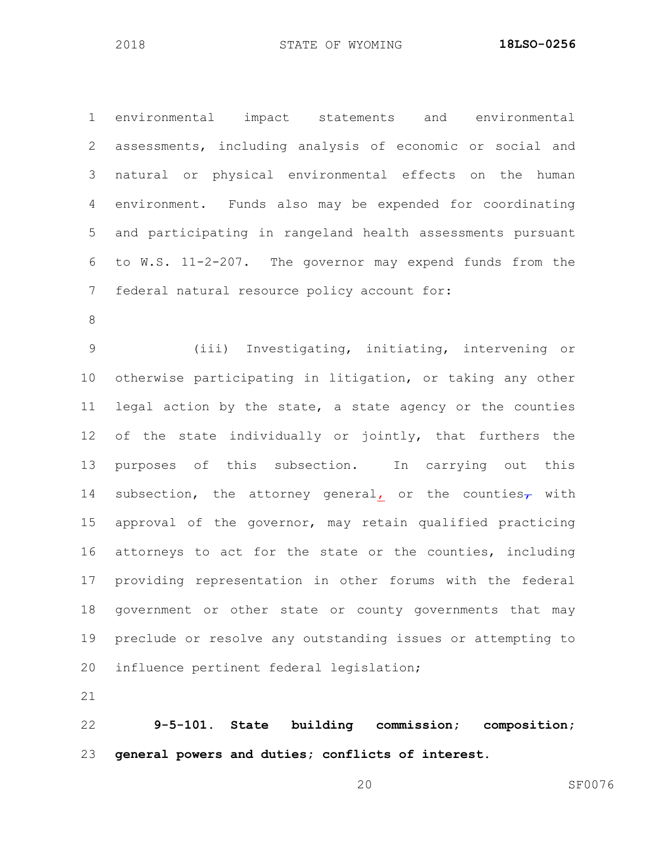environmental impact statements and environmental assessments, including analysis of economic or social and natural or physical environmental effects on the human environment. Funds also may be expended for coordinating and participating in rangeland health assessments pursuant to W.S. 11-2-207. The governor may expend funds from the federal natural resource policy account for:

 (iii) Investigating, initiating, intervening or otherwise participating in litigation, or taking any other legal action by the state, a state agency or the counties of the state individually or jointly, that furthers the purposes of this subsection. In carrying out this 14 subsection, the attorney general, or the counties<sub>7</sub> with approval of the governor, may retain qualified practicing attorneys to act for the state or the counties, including providing representation in other forums with the federal government or other state or county governments that may preclude or resolve any outstanding issues or attempting to influence pertinent federal legislation;

 **9-5-101. State building commission; composition; general powers and duties; conflicts of interest.**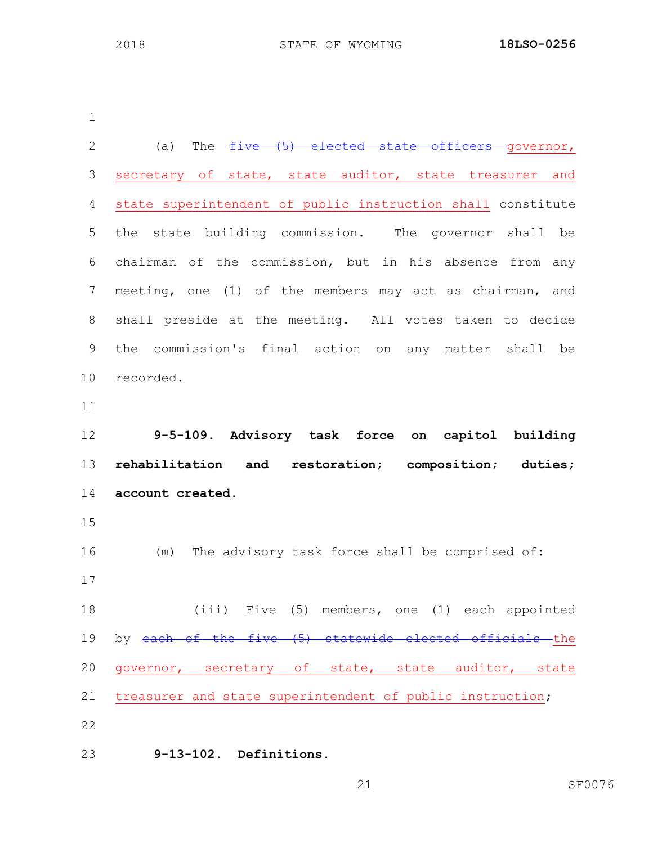| $\overline{2}$ | The $five$ (5) elected state officers governor,<br>(a)      |
|----------------|-------------------------------------------------------------|
| 3              | secretary of state, state auditor, state treasurer and      |
| 4              | state superintendent of public instruction shall constitute |
| 5              | the state building commission. The governor shall be        |
| 6              | chairman of the commission, but in his absence from any     |
| 7              | meeting, one (1) of the members may act as chairman, and    |
| $\,8\,$        | shall preside at the meeting. All votes taken to decide     |
| 9              | the commission's final action on any matter shall be        |
| 10             | recorded.                                                   |
| 11             |                                                             |
| 12             | 9-5-109. Advisory task force on capitol building            |
|                |                                                             |
| 13             | rehabilitation and restoration; composition; duties;        |
| 14             | account created.                                            |
| 15             |                                                             |
| 16             | (m) The advisory task force shall be comprised of:          |
| 17             |                                                             |
| 18             | (iii) Five (5) members, one (1) each appointed              |
| 19             | by each of the five (5) statewide elected officials the     |
| 20             | governor, secretary of state, state auditor, state          |
| 21             | treasurer and state superintendent of public instruction;   |
| 22             |                                                             |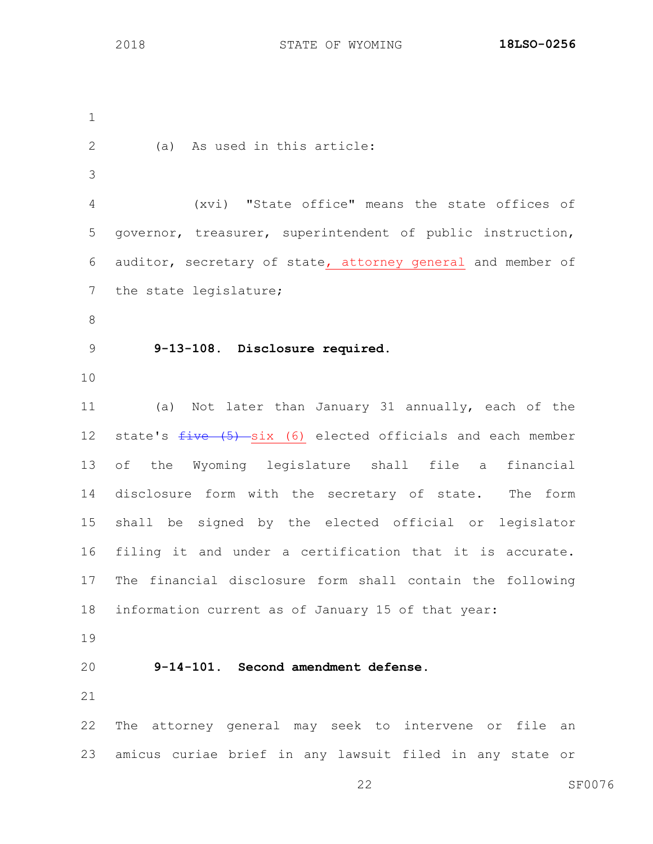(a) As used in this article: (xvi) "State office" means the state offices of governor, treasurer, superintendent of public instruction, auditor, secretary of state, attorney general and member of the state legislature; **9-13-108. Disclosure required.** (a) Not later than January 31 annually, each of the 12 state's  $five$  (5) six (6) elected officials and each member of the Wyoming legislature shall file a financial disclosure form with the secretary of state. The form shall be signed by the elected official or legislator filing it and under a certification that it is accurate. The financial disclosure form shall contain the following information current as of January 15 of that year: **9-14-101. Second amendment defense.** The attorney general may seek to intervene or file an amicus curiae brief in any lawsuit filed in any state or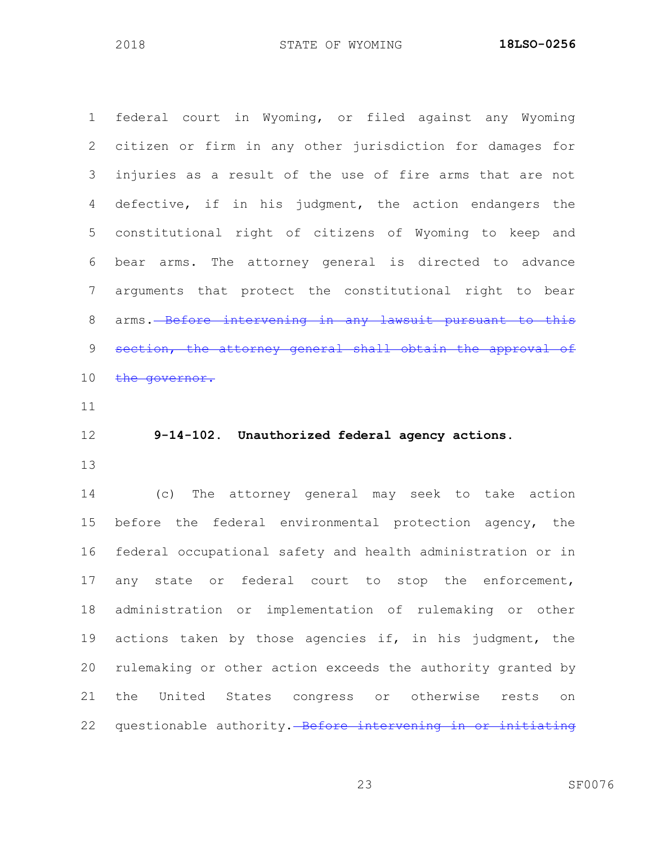federal court in Wyoming, or filed against any Wyoming citizen or firm in any other jurisdiction for damages for injuries as a result of the use of fire arms that are not defective, if in his judgment, the action endangers the constitutional right of citizens of Wyoming to keep and bear arms. The attorney general is directed to advance arguments that protect the constitutional right to bear 8 arms. Before intervening in any lawsuit pursuant to this 9 section, the attorney general shall obtain the approval of 10 the governor.

### **9-14-102. Unauthorized federal agency actions.**

 (c) The attorney general may seek to take action before the federal environmental protection agency, the federal occupational safety and health administration or in any state or federal court to stop the enforcement, administration or implementation of rulemaking or other actions taken by those agencies if, in his judgment, the rulemaking or other action exceeds the authority granted by the United States congress or otherwise rests on 22 questionable authority. Before intervening in or initiating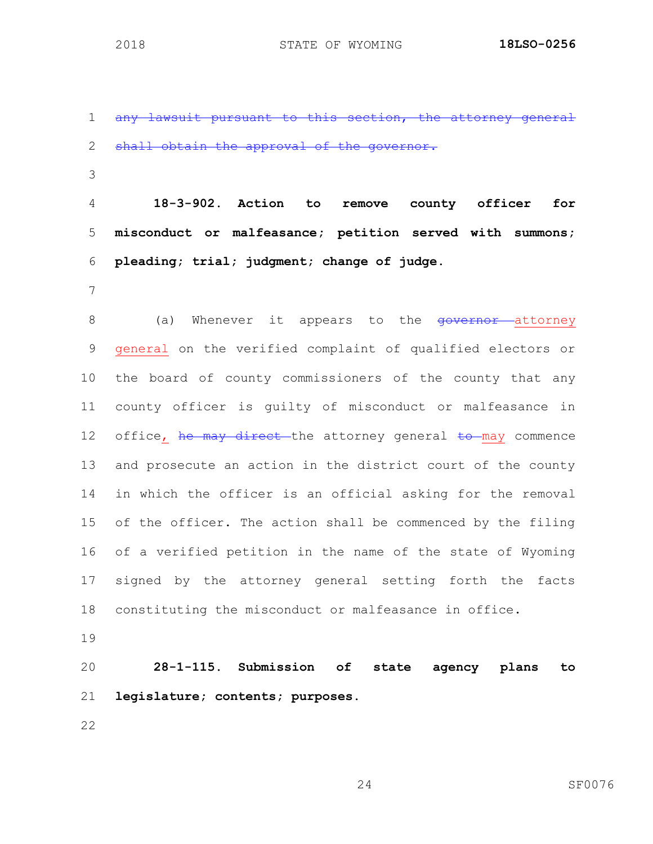1 any lawsuit pursuant to this section, the attorney general 2 shall obtain the approval of the governor. **18-3-902. Action to remove county officer for misconduct or malfeasance; petition served with summons; pleading; trial; judgment; change of judge.** 8 (a) Whenever it appears to the <del>governor a</del>ttorney

 general on the verified complaint of qualified electors or the board of county commissioners of the county that any county officer is guilty of misconduct or malfeasance in 12 office, he may direct the attorney general to may commence and prosecute an action in the district court of the county in which the officer is an official asking for the removal of the officer. The action shall be commenced by the filing of a verified petition in the name of the state of Wyoming signed by the attorney general setting forth the facts constituting the misconduct or malfeasance in office.

 **28-1-115. Submission of state agency plans to legislature; contents; purposes.**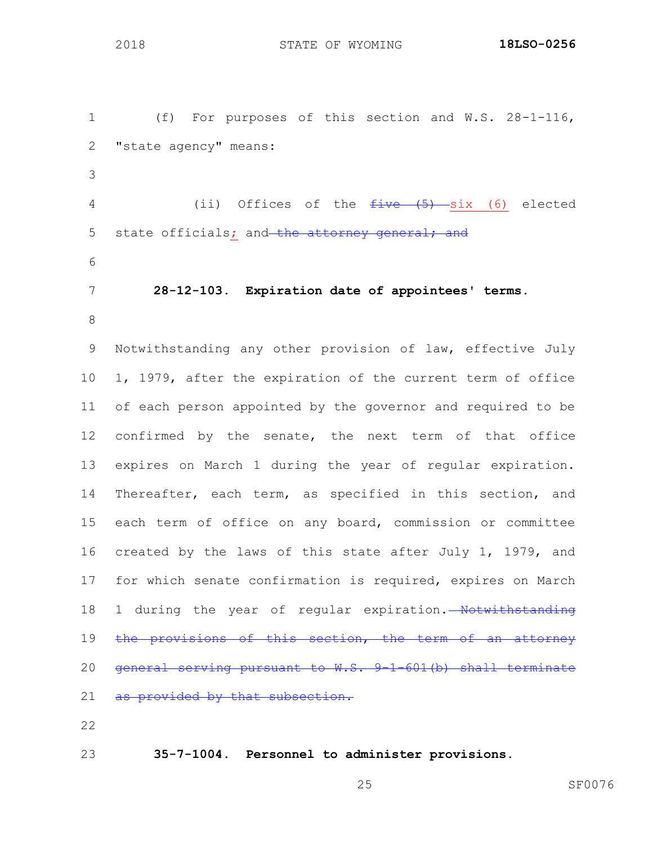(f) For purposes of this section and W.S. 28-1-116, "state agency" means: 4 (ii) Offices of the  $f$ ive (5) six (6) elected 5 state officials; and the attorney general; and **28-12-103. Expiration date of appointees' terms.** 

 Notwithstanding any other provision of law, effective July 1, 1979, after the expiration of the current term of office of each person appointed by the governor and required to be 12 confirmed by the senate, the next term of that office expires on March 1 during the year of regular expiration. Thereafter, each term, as specified in this section, and each term of office on any board, commission or committee created by the laws of this state after July 1, 1979, and for which senate confirmation is required, expires on March 18 1 during the year of regular expiration. Notwithstanding 19 the provisions of this section, the term of an attorney general serving pursuant to W.S. 9-1-601(b) shall terminate 21 as provided by that subsection.

**35-7-1004. Personnel to administer provisions.**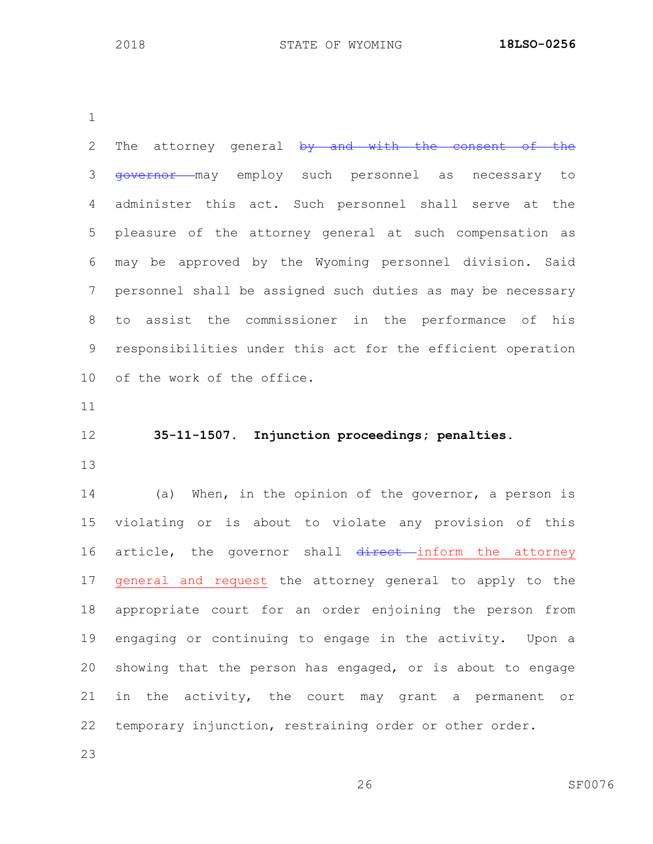2 The attorney general by and with the consent of the 3 <del>governor</del> may employ such personnel as necessary to administer this act. Such personnel shall serve at the pleasure of the attorney general at such compensation as may be approved by the Wyoming personnel division. Said personnel shall be assigned such duties as may be necessary to assist the commissioner in the performance of his responsibilities under this act for the efficient operation of the work of the office. **35-11-1507. Injunction proceedings; penalties.** (a) When, in the opinion of the governor, a person is

 violating or is about to violate any provision of this 16 article, the governor shall direct inform the attorney general and request the attorney general to apply to the appropriate court for an order enjoining the person from engaging or continuing to engage in the activity. Upon a showing that the person has engaged, or is about to engage in the activity, the court may grant a permanent or temporary injunction, restraining order or other order.